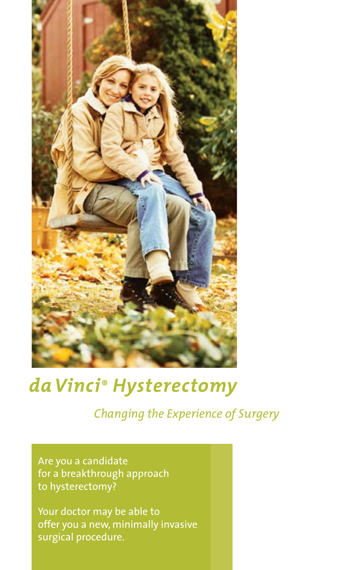

## *daVinci® Hysterectomy*

*Changing the Experience of Surgery*

Are you a candidate for a breakthrough approach to hysterectomy?

Your doctor may be able to offer you a new, minimally invasive surgical procedure.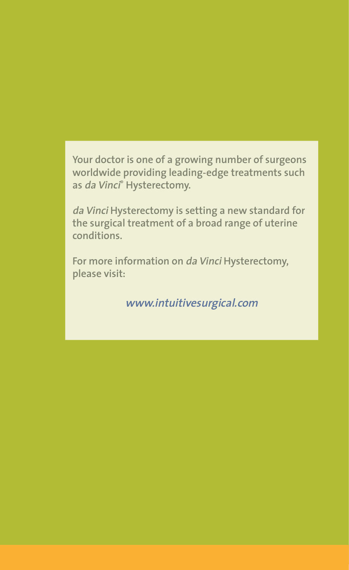**Your doctor is one of a growing number of surgeons worldwide providing leading-edge treatments such as da Vinci® Hysterectomy.** 

**da Vinci Hysterectomy is setting a new standard for the surgical treatment of a broad range of uterine conditions.**

**For more information on da Vinci Hysterectomy, please visit:** 

**www.intuitivesurgical.com**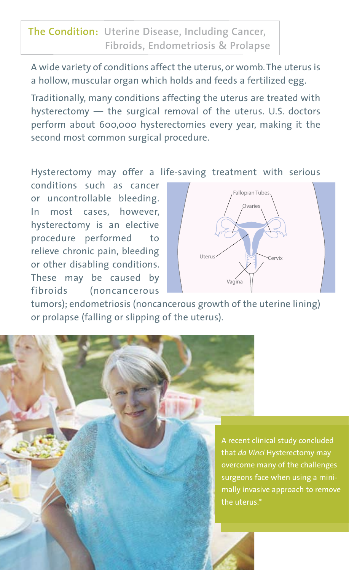A wide variety of conditions affect the uterus, or womb. The uterus is a hollow, muscular organ which holds and feeds a fertilized egg.

Traditionally, many conditions affecting the uterus are treated with hysterectomy — the surgical removal of the uterus. U.S. doctors perform about 600,000 hysterectomies every year, making it the second most common surgical procedure.

Hysterectomy may offer a life-saving treatment with serious

conditions such as cancer or uncontrollable bleeding. In most cases, however, hysterectomy is an elective procedure performed to relieve chronic pain, bleeding or other disabling conditions. These may be caused by fibroids (noncancerous



tumors); endometriosis (noncancerous growth of the uterine lining) or prolapse (falling or slipping of the uterus).

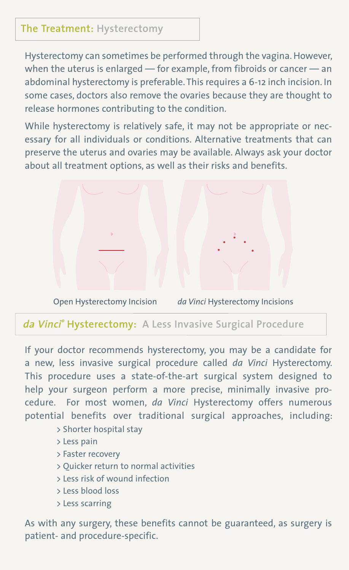### **The Treatment: Hysterectomy**

Hysterectomy can sometimes be performed through the vagina. However, when the uterus is enlarged — for example, from fibroids or cancer — an abdominal hysterectomy is preferable. This requires a 6-12 inch incision. In some cases, doctors also remove the ovaries because they are thought to release hormones contributing to the condition.

While hysterectomy is relatively safe, it may not be appropriate or necessary for all individuals or conditions. Alternative treatments that can preserve the uterus and ovaries may be available. Always ask your doctor about all treatment options, as well as their risks and benefits.



Open Hysterectomy Incision da Vinci Hysterectomy Incisions

**da Vinci® Hysterectomy: A Less Invasive Surgical Procedure**

If your doctor recommends hysterectomy, you may be a candidate for a new, less invasive surgical procedure called *da Vinci* Hysterectomy. This procedure uses a state-of-the-art surgical system designed to help your surgeon perform a more precise, minimally invasive procedure. For most women, *da Vinci* Hysterectomy offers numerous potential benefits over traditional surgical approaches, including:

- > Shorter hospital stay
- > Less pain
- > Faster recovery
- > Quicker return to normal activities
- > Less risk of wound infection
- > Less blood loss
- > Less scarring

As with any surgery, these benefits cannot be guaranteed, as surgery is patient- and procedure-specific.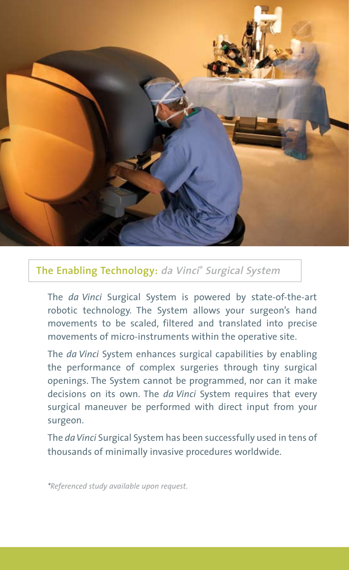

#### **The Enabling Technology: da Vinci® Surgical System**

The *da Vinci* Surgical System is powered by state-of-the-art robotic technology. The System allows your surgeon's hand movements to be scaled, filtered and translated into precise movements of micro-instruments within the operative site.

The *da Vinci* System enhances surgical capabilities by enabling the performance of complex surgeries through tiny surgical openings. The System cannot be programmed, nor can it make decisions on its own. The *da Vinci* System requires that every surgical maneuver be performed with direct input from your surgeon.

The *daVinci* Surgical System has been successfully used in tens of thousands of minimally invasive procedures worldwide.

*\*Referenced study available upon request.*